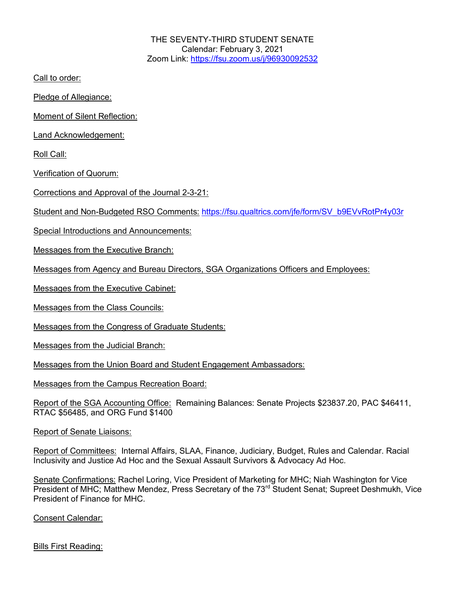THE SEVENTY-THIRD STUDENT SENATE Calendar: February 3, 2021 Zoom Link: https://fsu.zoom.us/j/96930092532

Call to order:

Pledge of Allegiance:

Moment of Silent Reflection:

Land Acknowledgement:

Roll Call:

Verification of Quorum:

Corrections and Approval of the Journal 2-3-21:

Student and Non-Budgeted RSO Comments: https://fsu.qualtrics.com/jfe/form/SV\_b9EVvRotPr4y03r

Special Introductions and Announcements:

Messages from the Executive Branch:

Messages from Agency and Bureau Directors, SGA Organizations Officers and Employees:

Messages from the Executive Cabinet:

Messages from the Class Councils:

Messages from the Congress of Graduate Students:

Messages from the Judicial Branch:

Messages from the Union Board and Student Engagement Ambassadors:

Messages from the Campus Recreation Board:

Report of the SGA Accounting Office: Remaining Balances: Senate Projects \$23837.20, PAC \$46411, RTAC \$56485, and ORG Fund \$1400

Report of Senate Liaisons:

Report of Committees: Internal Affairs, SLAA, Finance, Judiciary, Budget, Rules and Calendar. Racial Inclusivity and Justice Ad Hoc and the Sexual Assault Survivors & Advocacy Ad Hoc.

Senate Confirmations: Rachel Loring, Vice President of Marketing for MHC; Niah Washington for Vice President of MHC; Matthew Mendez, Press Secretary of the 73<sup>rd</sup> Student Senat; Supreet Deshmukh, Vice President of Finance for MHC.

Consent Calendar:

Bills First Reading: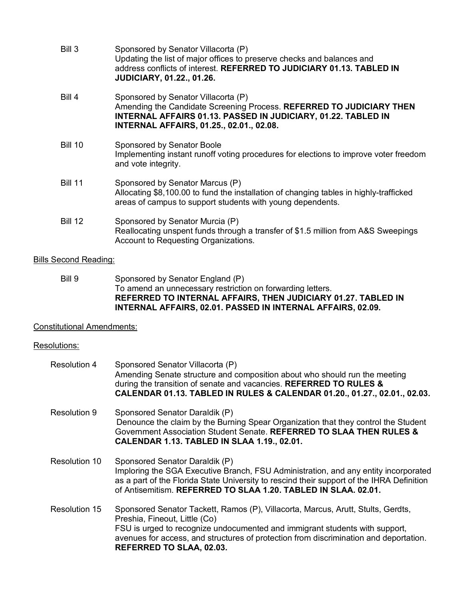- Bill 3 Sponsored by Senator Villacorta (P) Updating the list of major offices to preserve checks and balances and address conflicts of interest. **REFERRED TO JUDICIARY 01.13. TABLED IN JUDICIARY, 01.22., 01.26.** Bill 4 Sponsored by Senator Villacorta (P) Amending the Candidate Screening Process. **REFERRED TO JUDICIARY THEN INTERNAL AFFAIRS 01.13. PASSED IN JUDICIARY, 01.22. TABLED IN INTERNAL AFFAIRS, 01.25., 02.01., 02.08.** Bill 10 Sponsored by Senator Boole Implementing instant runoff voting procedures for elections to improve voter freedom and vote integrity.
- Bill 11 Sponsored by Senator Marcus (P) Allocating \$8,100.00 to fund the installation of changing tables in highly-trafficked areas of campus to support students with young dependents.
- Bill 12 Sponsored by Senator Murcia (P) Reallocating unspent funds through a transfer of \$1.5 million from A&S Sweepings Account to Requesting Organizations.

## Bills Second Reading:

Bill 9 Sponsored by Senator England (P) To amend an unnecessary restriction on forwarding letters. **REFERRED TO INTERNAL AFFAIRS, THEN JUDICIARY 01.27. TABLED IN INTERNAL AFFAIRS, 02.01. PASSED IN INTERNAL AFFAIRS, 02.09.**

## Constitutional Amendments:

## Resolutions:

| <b>Resolution 4</b> | Sponsored Senator Villacorta (P)<br>Amending Senate structure and composition about who should run the meeting<br>during the transition of senate and vacancies. REFERRED TO RULES &<br>CALENDAR 01.13. TABLED IN RULES & CALENDAR 01.20., 01.27., 02.01., 02.03.                                                     |
|---------------------|-----------------------------------------------------------------------------------------------------------------------------------------------------------------------------------------------------------------------------------------------------------------------------------------------------------------------|
| Resolution 9        | Sponsored Senator Daraldik (P)<br>Denounce the claim by the Burning Spear Organization that they control the Student<br>Government Association Student Senate, REFERRED TO SLAA THEN RULES &<br><b>CALENDAR 1.13. TABLED IN SLAA 1.19., 02.01.</b>                                                                    |
| Resolution 10       | Sponsored Senator Daraldik (P)<br>Imploring the SGA Executive Branch, FSU Administration, and any entity incorporated<br>as a part of the Florida State University to rescind their support of the IHRA Definition<br>of Antisemitism. REFERRED TO SLAA 1.20. TABLED IN SLAA. 02.01.                                  |
| Resolution 15       | Sponsored Senator Tackett, Ramos (P), Villacorta, Marcus, Arutt, Stults, Gerdts,<br>Preshia, Fineout, Little (Co)<br>FSU is urged to recognize undocumented and immigrant students with support,<br>avenues for access, and structures of protection from discrimination and deportation.<br>REFERRED TO SLAA, 02.03. |